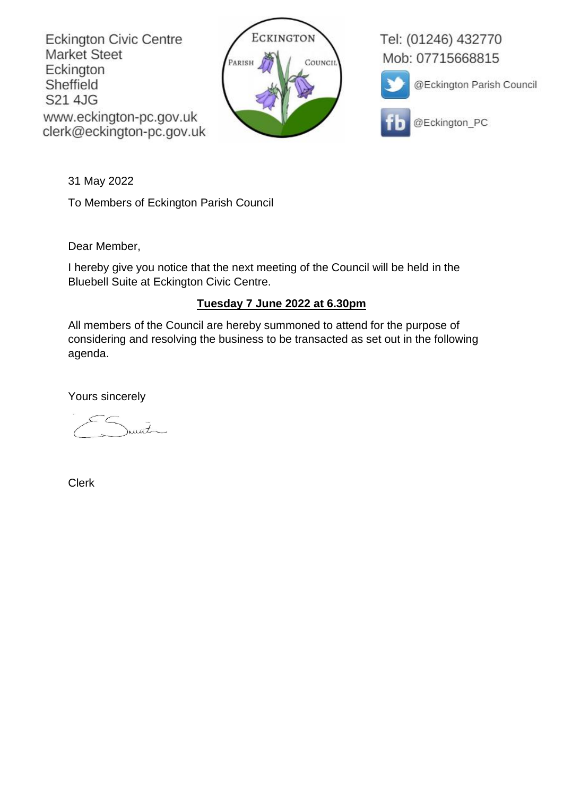**Eckington Civic Centre Market Steet** Eckington Sheffield S21 4JG www.eckington-pc.gov.uk clerk@eckington-pc.gov.uk



Tel: (01246) 432770 Mob: 07715668815



@Eckington Parish Council



@Eckington\_PC

31 May 2022

To Members of Eckington Parish Council

Dear Member,

I hereby give you notice that the next meeting of the Council will be held in the Bluebell Suite at Eckington Civic Centre.

# **Tuesday 7 June 2022 at 6.30pm**

All members of the Council are hereby summoned to attend for the purpose of considering and resolving the business to be transacted as set out in the following agenda.

Yours sincerely

unt

Clerk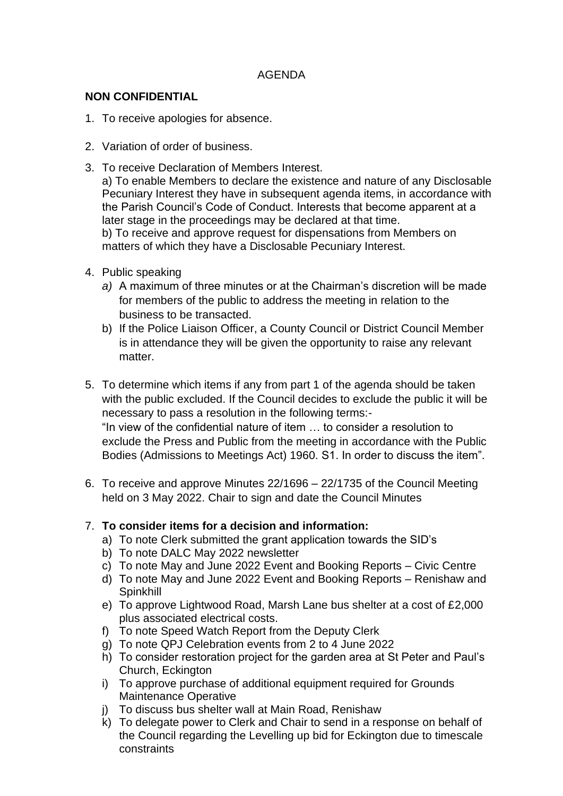## AGENDA

## **NON CONFIDENTIAL**

- 1. To receive apologies for absence.
- 2. Variation of order of business.
- 3. To receive Declaration of Members Interest.

a) To enable Members to declare the existence and nature of any Disclosable Pecuniary Interest they have in subsequent agenda items, in accordance with the Parish Council's Code of Conduct. Interests that become apparent at a later stage in the proceedings may be declared at that time. b) To receive and approve request for dispensations from Members on matters of which they have a Disclosable Pecuniary Interest.

- 4. Public speaking
	- *a)* A maximum of three minutes or at the Chairman's discretion will be made for members of the public to address the meeting in relation to the business to be transacted.
	- b) If the Police Liaison Officer, a County Council or District Council Member is in attendance they will be given the opportunity to raise any relevant matter.
- 5. To determine which items if any from part 1 of the agenda should be taken with the public excluded. If the Council decides to exclude the public it will be necessary to pass a resolution in the following terms:- "In view of the confidential nature of item … to consider a resolution to exclude the Press and Public from the meeting in accordance with the Public Bodies (Admissions to Meetings Act) 1960. S1. In order to discuss the item".
- 6. To receive and approve Minutes 22/1696 22/1735 of the Council Meeting held on 3 May 2022. Chair to sign and date the Council Minutes

# 7. **To consider items for a decision and information:**

- a) To note Clerk submitted the grant application towards the SID's
- b) To note DALC May 2022 newsletter
- c) To note May and June 2022 Event and Booking Reports Civic Centre
- d) To note May and June 2022 Event and Booking Reports Renishaw and Spinkhill
- e) To approve Lightwood Road, Marsh Lane bus shelter at a cost of £2,000 plus associated electrical costs.
- f) To note Speed Watch Report from the Deputy Clerk
- g) To note QPJ Celebration events from 2 to 4 June 2022
- h) To consider restoration project for the garden area at St Peter and Paul's Church, Eckington
- i) To approve purchase of additional equipment required for Grounds Maintenance Operative
- j) To discuss bus shelter wall at Main Road, Renishaw
- k) To delegate power to Clerk and Chair to send in a response on behalf of the Council regarding the Levelling up bid for Eckington due to timescale constraints